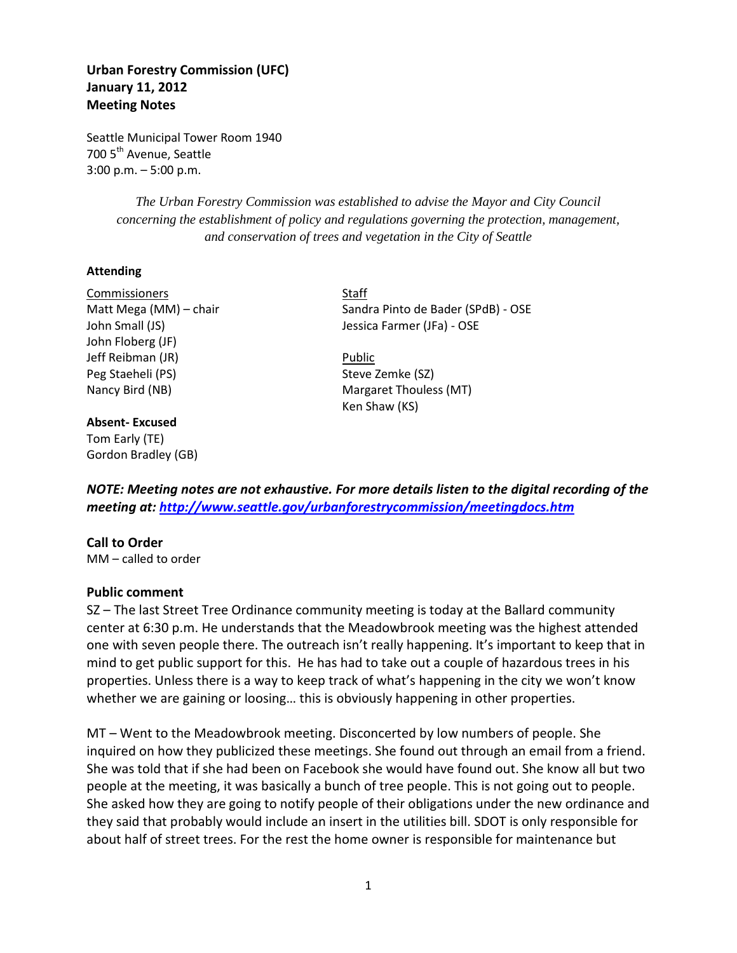# **Urban Forestry Commission (UFC) January 11, 2012 Meeting Notes**

Seattle Municipal Tower Room 1940 700 5<sup>th</sup> Avenue, Seattle 3:00 p.m. – 5:00 p.m.

> *The Urban Forestry Commission was established to advise the Mayor and City Council concerning the establishment of policy and regulations governing the protection, management, and conservation of trees and vegetation in the City of Seattle*

### **Attending**

Commissioners Staff John Floberg (JF) Jeff Reibman (JR) **Public** Peg Staeheli (PS) Steve Zemke (SZ) Nancy Bird (NB) Margaret Thouless (MT)

### **Absent- Excused**

Tom Early (TE) Gordon Bradley (GB)

Matt Mega (MM) – chair Sandra Pinto de Bader (SPdB) - OSE John Small (JS) Jessica Farmer (JFa) - OSE

Ken Shaw (KS)

*NOTE: Meeting notes are not exhaustive. For more details listen to the digital recording of the meeting at:<http://www.seattle.gov/urbanforestrycommission/meetingdocs.htm>*

### **Call to Order**

MM – called to order

### **Public comment**

SZ – The last Street Tree Ordinance community meeting is today at the Ballard community center at 6:30 p.m. He understands that the Meadowbrook meeting was the highest attended one with seven people there. The outreach isn't really happening. It's important to keep that in mind to get public support for this. He has had to take out a couple of hazardous trees in his properties. Unless there is a way to keep track of what's happening in the city we won't know whether we are gaining or loosing… this is obviously happening in other properties.

MT – Went to the Meadowbrook meeting. Disconcerted by low numbers of people. She inquired on how they publicized these meetings. She found out through an email from a friend. She was told that if she had been on Facebook she would have found out. She know all but two people at the meeting, it was basically a bunch of tree people. This is not going out to people. She asked how they are going to notify people of their obligations under the new ordinance and they said that probably would include an insert in the utilities bill. SDOT is only responsible for about half of street trees. For the rest the home owner is responsible for maintenance but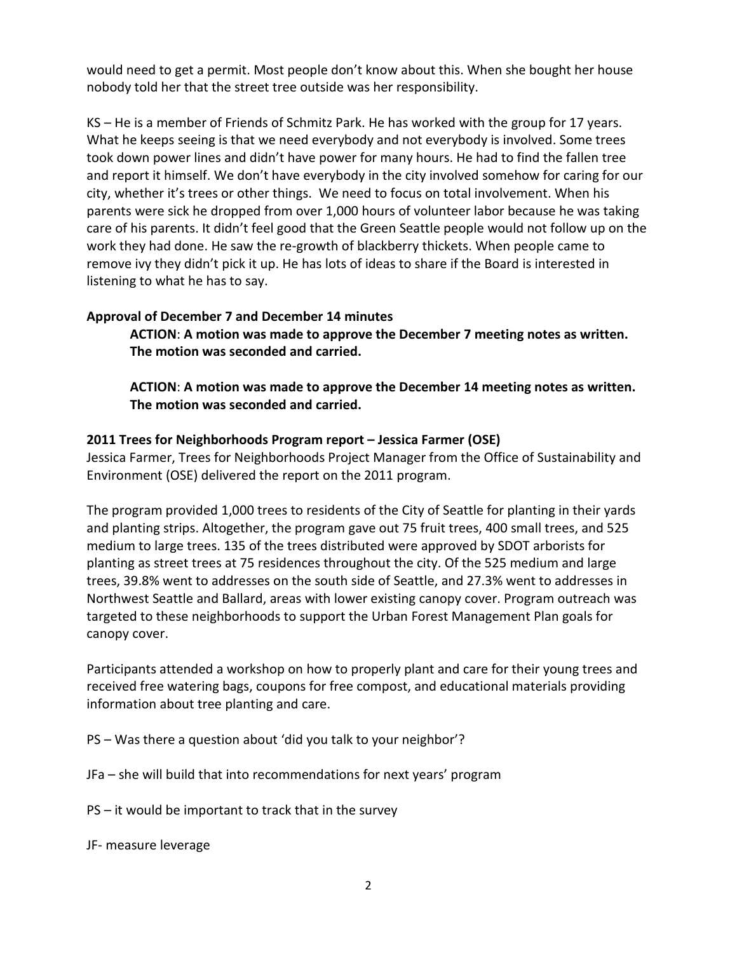would need to get a permit. Most people don't know about this. When she bought her house nobody told her that the street tree outside was her responsibility.

KS – He is a member of Friends of Schmitz Park. He has worked with the group for 17 years. What he keeps seeing is that we need everybody and not everybody is involved. Some trees took down power lines and didn't have power for many hours. He had to find the fallen tree and report it himself. We don't have everybody in the city involved somehow for caring for our city, whether it's trees or other things. We need to focus on total involvement. When his parents were sick he dropped from over 1,000 hours of volunteer labor because he was taking care of his parents. It didn't feel good that the Green Seattle people would not follow up on the work they had done. He saw the re-growth of blackberry thickets. When people came to remove ivy they didn't pick it up. He has lots of ideas to share if the Board is interested in listening to what he has to say.

# **Approval of December 7 and December 14 minutes**

**ACTION**: **A motion was made to approve the December 7 meeting notes as written. The motion was seconded and carried.** 

**ACTION**: **A motion was made to approve the December 14 meeting notes as written. The motion was seconded and carried.** 

# **2011 Trees for Neighborhoods Program report – Jessica Farmer (OSE)**

Jessica Farmer, Trees for Neighborhoods Project Manager from the Office of Sustainability and Environment (OSE) delivered the report on the 2011 program.

The program provided 1,000 trees to residents of the City of Seattle for planting in their yards and planting strips. Altogether, the program gave out 75 fruit trees, 400 small trees, and 525 medium to large trees. 135 of the trees distributed were approved by SDOT arborists for planting as street trees at 75 residences throughout the city. Of the 525 medium and large trees, 39.8% went to addresses on the south side of Seattle, and 27.3% went to addresses in Northwest Seattle and Ballard, areas with lower existing canopy cover. Program outreach was targeted to these neighborhoods to support the Urban Forest Management Plan goals for canopy cover.

Participants attended a workshop on how to properly plant and care for their young trees and received free watering bags, coupons for free compost, and educational materials providing information about tree planting and care.

PS – Was there a question about 'did you talk to your neighbor'?

JFa – she will build that into recommendations for next years' program

PS – it would be important to track that in the survey

JF- measure leverage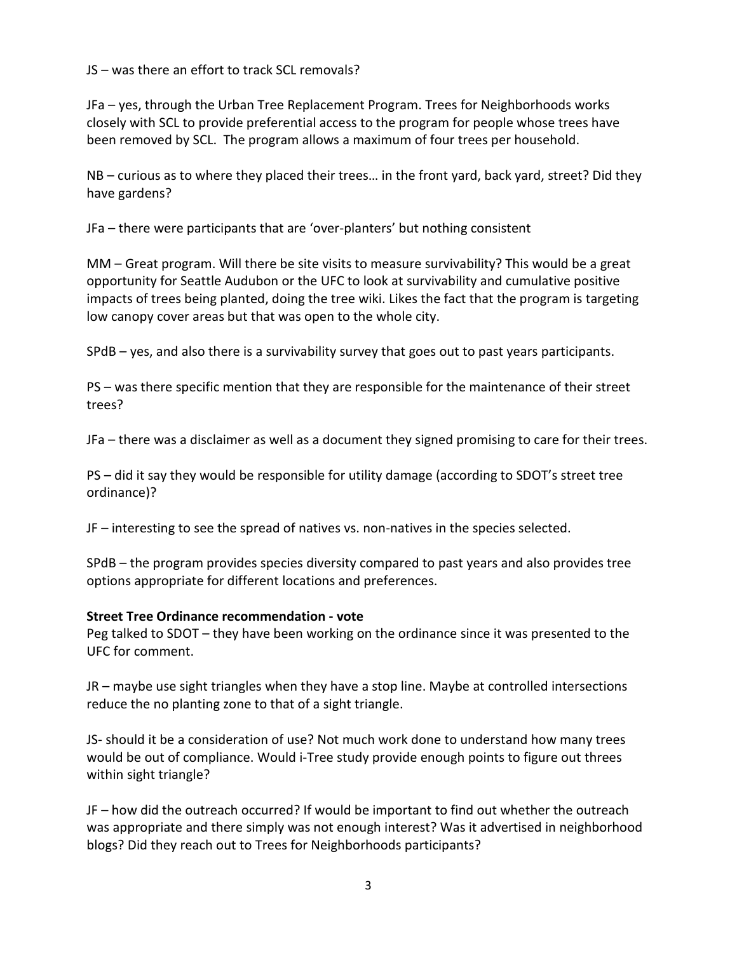JS – was there an effort to track SCL removals?

JFa – yes, through the Urban Tree Replacement Program. Trees for Neighborhoods works closely with SCL to provide preferential access to the program for people whose trees have been removed by SCL. The program allows a maximum of four trees per household.

NB – curious as to where they placed their trees… in the front yard, back yard, street? Did they have gardens?

JFa – there were participants that are 'over-planters' but nothing consistent

MM – Great program. Will there be site visits to measure survivability? This would be a great opportunity for Seattle Audubon or the UFC to look at survivability and cumulative positive impacts of trees being planted, doing the tree wiki. Likes the fact that the program is targeting low canopy cover areas but that was open to the whole city.

SPdB – yes, and also there is a survivability survey that goes out to past years participants.

PS – was there specific mention that they are responsible for the maintenance of their street trees?

JFa – there was a disclaimer as well as a document they signed promising to care for their trees.

PS – did it say they would be responsible for utility damage (according to SDOT's street tree ordinance)?

JF – interesting to see the spread of natives vs. non-natives in the species selected.

SPdB – the program provides species diversity compared to past years and also provides tree options appropriate for different locations and preferences.

### **Street Tree Ordinance recommendation - vote**

Peg talked to SDOT – they have been working on the ordinance since it was presented to the UFC for comment.

JR – maybe use sight triangles when they have a stop line. Maybe at controlled intersections reduce the no planting zone to that of a sight triangle.

JS- should it be a consideration of use? Not much work done to understand how many trees would be out of compliance. Would i-Tree study provide enough points to figure out threes within sight triangle?

JF – how did the outreach occurred? If would be important to find out whether the outreach was appropriate and there simply was not enough interest? Was it advertised in neighborhood blogs? Did they reach out to Trees for Neighborhoods participants?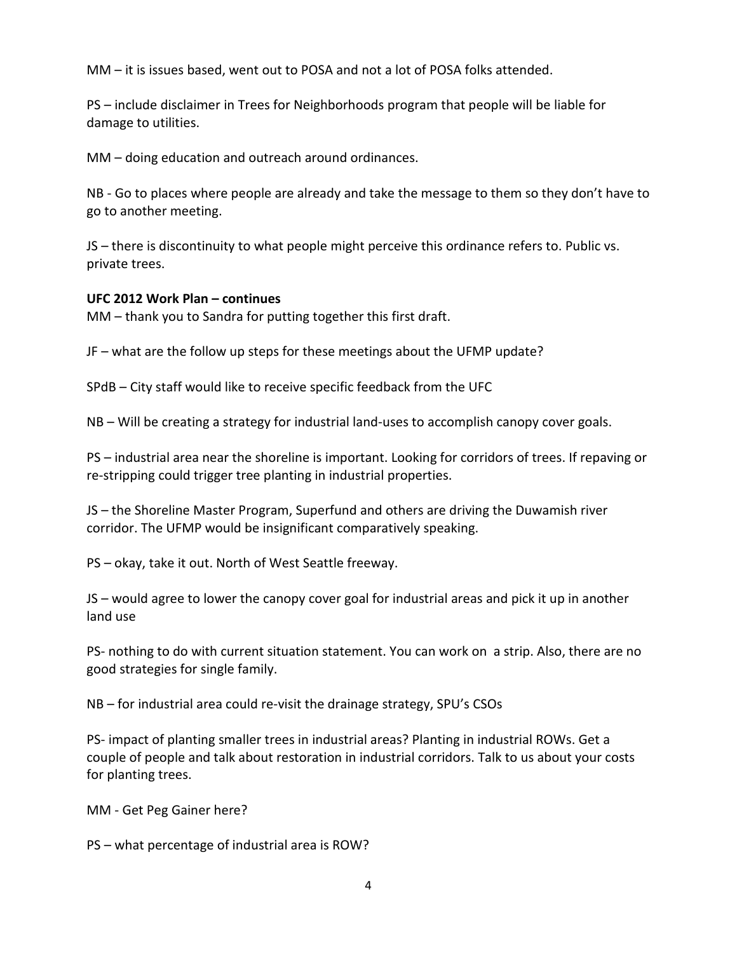MM – it is issues based, went out to POSA and not a lot of POSA folks attended.

PS – include disclaimer in Trees for Neighborhoods program that people will be liable for damage to utilities.

MM – doing education and outreach around ordinances.

NB - Go to places where people are already and take the message to them so they don't have to go to another meeting.

JS – there is discontinuity to what people might perceive this ordinance refers to. Public vs. private trees.

### **UFC 2012 Work Plan – continues**

MM – thank you to Sandra for putting together this first draft.

JF – what are the follow up steps for these meetings about the UFMP update?

SPdB – City staff would like to receive specific feedback from the UFC

NB – Will be creating a strategy for industrial land-uses to accomplish canopy cover goals.

PS – industrial area near the shoreline is important. Looking for corridors of trees. If repaving or re-stripping could trigger tree planting in industrial properties.

JS – the Shoreline Master Program, Superfund and others are driving the Duwamish river corridor. The UFMP would be insignificant comparatively speaking.

PS – okay, take it out. North of West Seattle freeway.

JS – would agree to lower the canopy cover goal for industrial areas and pick it up in another land use

PS- nothing to do with current situation statement. You can work on a strip. Also, there are no good strategies for single family.

NB – for industrial area could re-visit the drainage strategy, SPU's CSOs

PS- impact of planting smaller trees in industrial areas? Planting in industrial ROWs. Get a couple of people and talk about restoration in industrial corridors. Talk to us about your costs for planting trees.

MM - Get Peg Gainer here?

PS – what percentage of industrial area is ROW?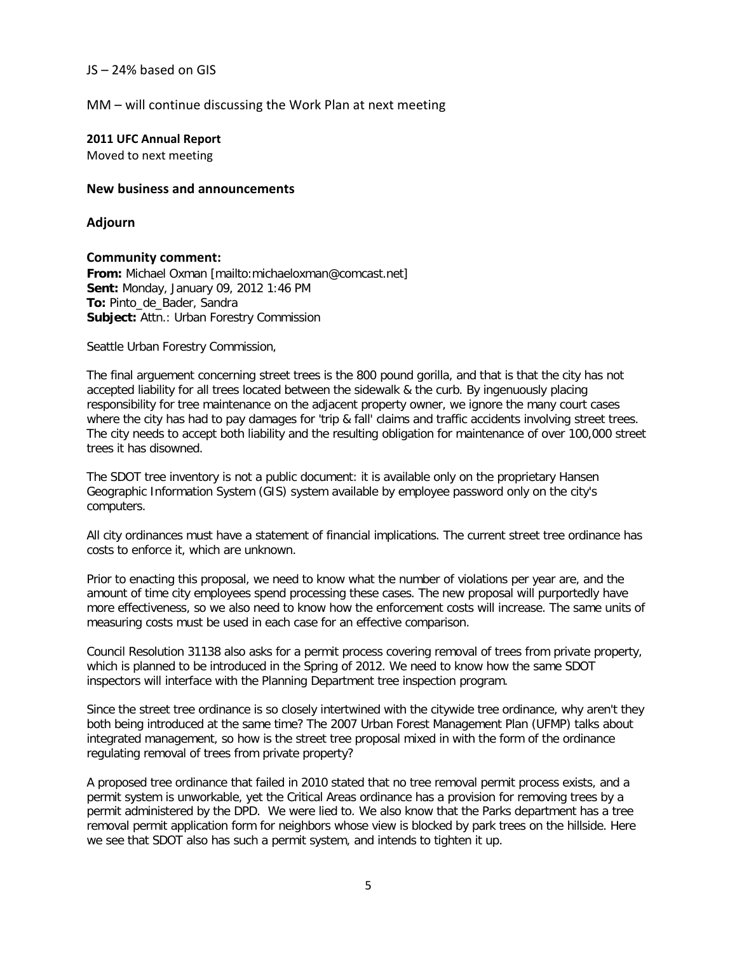### JS – 24% based on GIS

MM – will continue discussing the Work Plan at next meeting

#### **2011 UFC Annual Report**

Moved to next meeting

#### **New business and announcements**

**Adjourn**

#### **Community comment:**

**From:** Michael Oxman [mailto:michaeloxman@comcast.net] **Sent:** Monday, January 09, 2012 1:46 PM **To:** Pinto\_de\_Bader, Sandra **Subject:** Attn.: Urban Forestry Commission

Seattle Urban Forestry Commission,

The final arguement concerning street trees is the 800 pound gorilla, and that is that the city has not accepted liability for all trees located between the sidewalk & the curb. By ingenuously placing responsibility for tree maintenance on the adjacent property owner, we ignore the many court cases where the city has had to pay damages for 'trip & fall' claims and traffic accidents involving street trees. The city needs to accept both liability and the resulting obligation for maintenance of over 100,000 street trees it has disowned.

The SDOT tree inventory is not a public document: it is available only on the proprietary Hansen Geographic Information System (GIS) system available by employee password only on the city's computers.

All city ordinances must have a statement of financial implications. The current street tree ordinance has costs to enforce it, which are unknown.

Prior to enacting this proposal, we need to know what the number of violations per year are, and the amount of time city employees spend processing these cases. The new proposal will purportedly have more effectiveness, so we also need to know how the enforcement costs will increase. The same units of measuring costs must be used in each case for an effective comparison.

Council Resolution 31138 also asks for a permit process covering removal of trees from private property, which is planned to be introduced in the Spring of 2012. We need to know how the same SDOT inspectors will interface with the Planning Department tree inspection program.

Since the street tree ordinance is so closely intertwined with the citywide tree ordinance, why aren't they both being introduced at the same time? The 2007 Urban Forest Management Plan (UFMP) talks about integrated management, so how is the street tree proposal mixed in with the form of the ordinance regulating removal of trees from private property?

A proposed tree ordinance that failed in 2010 stated that no tree removal permit process exists, and a permit system is unworkable, yet the Critical Areas ordinance has a provision for removing trees by a permit administered by the DPD. We were lied to. We also know that the Parks department has a tree removal permit application form for neighbors whose view is blocked by park trees on the hillside. Here we see that SDOT also has such a permit system, and intends to tighten it up.